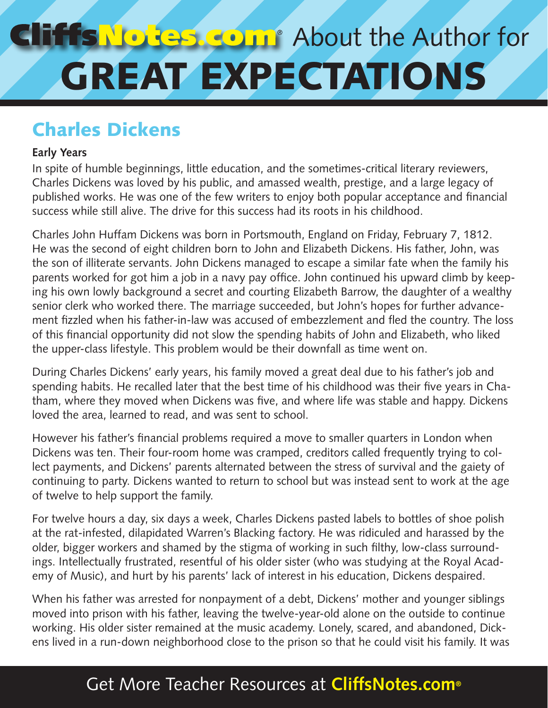## Charles Dickens

### **Early Years**

In spite of humble beginnings, little education, and the sometimes-critical literary reviewers, Charles Dickens was loved by his public, and amassed wealth, prestige, and a large legacy of published works. He was one of the few writers to enjoy both popular acceptance and financial success while still alive. The drive for this success had its roots in his childhood.

Charles John Huffam Dickens was born in Portsmouth, England on Friday, February 7, 1812. He was the second of eight children born to John and Elizabeth Dickens. His father, John, was the son of illiterate servants. John Dickens managed to escape a similar fate when the family his parents worked for got him a job in a navy pay office. John continued his upward climb by keeping his own lowly background a secret and courting Elizabeth Barrow, the daughter of a wealthy senior clerk who worked there. The marriage succeeded, but John's hopes for further advancement fizzled when his father-in-law was accused of embezzlement and fled the country. The loss of this financial opportunity did not slow the spending habits of John and Elizabeth, who liked the upper-class lifestyle. This problem would be their downfall as time went on.

During Charles Dickens' early years, his family moved a great deal due to his father's job and spending habits. He recalled later that the best time of his childhood was their five years in Chatham, where they moved when Dickens was five, and where life was stable and happy. Dickens loved the area, learned to read, and was sent to school.

However his father's financial problems required a move to smaller quarters in London when Dickens was ten. Their four-room home was cramped, creditors called frequently trying to collect payments, and Dickens' parents alternated between the stress of survival and the gaiety of continuing to party. Dickens wanted to return to school but was instead sent to work at the age of twelve to help support the family.

For twelve hours a day, six days a week, Charles Dickens pasted labels to bottles of shoe polish at the rat-infested, dilapidated Warren's Blacking factory. He was ridiculed and harassed by the older, bigger workers and shamed by the stigma of working in such filthy, low-class surroundings. Intellectually frustrated, resentful of his older sister (who was studying at the Royal Academy of Music), and hurt by his parents' lack of interest in his education, Dickens despaired.

When his father was arrested for nonpayment of a debt, Dickens' mother and younger siblings moved into prison with his father, leaving the twelve-year-old alone on the outside to continue working. His older sister remained at the music academy. Lonely, scared, and abandoned, Dickens lived in a run-down neighborhood close to the prison so that he could visit his family. It was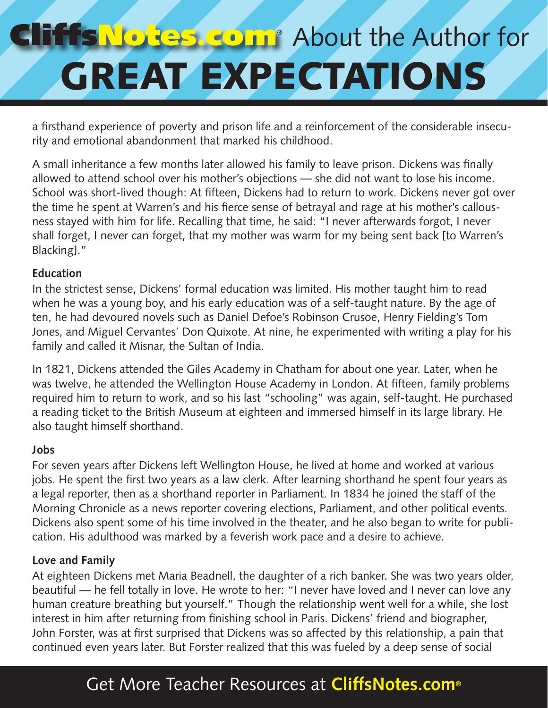a firsthand experience of poverty and prison life and a reinforcement of the considerable insecurity and emotional abandonment that marked his childhood.

A small inheritance a few months later allowed his family to leave prison. Dickens was finally allowed to attend school over his mother's objections — she did not want to lose his income. School was short-lived though: At fifteen, Dickens had to return to work. Dickens never got over the time he spent at Warren's and his fierce sense of betrayal and rage at his mother's callousness stayed with him for life. Recalling that time, he said: "I never afterwards forgot, I never shall forget, I never can forget, that my mother was warm for my being sent back [to Warren's Blacking]."

#### **Education**

In the strictest sense, Dickens' formal education was limited. His mother taught him to read when he was a young boy, and his early education was of a self-taught nature. By the age of ten, he had devoured novels such as Daniel Defoe's Robinson Crusoe, Henry Fielding's Tom Jones, and Miguel Cervantes' Don Quixote. At nine, he experimented with writing a play for his family and called it Misnar, the Sultan of India.

In 1821, Dickens attended the Giles Academy in Chatham for about one year. Later, when he was twelve, he attended the Wellington House Academy in London. At fifteen, family problems required him to return to work, and so his last "schooling" was again, self-taught. He purchased a reading ticket to the British Museum at eighteen and immersed himself in its large library. He also taught himself shorthand.

### **Jobs**

For seven years after Dickens left Wellington House, he lived at home and worked at various jobs. He spent the first two years as a law clerk. After learning shorthand he spent four years as a legal reporter, then as a shorthand reporter in Parliament. In 1834 he joined the staff of the Morning Chronicle as a news reporter covering elections, Parliament, and other political events. Dickens also spent some of his time involved in the theater, and he also began to write for publication. His adulthood was marked by a feverish work pace and a desire to achieve.

### **Love and Family**

At eighteen Dickens met Maria Beadnell, the daughter of a rich banker. She was two years older, beautiful — he fell totally in love. He wrote to her: "I never have loved and I never can love any human creature breathing but yourself." Though the relationship went well for a while, she lost interest in him after returning from finishing school in Paris. Dickens' friend and biographer, John Forster, was at first surprised that Dickens was so affected by this relationship, a pain that continued even years later. But Forster realized that this was fueled by a deep sense of social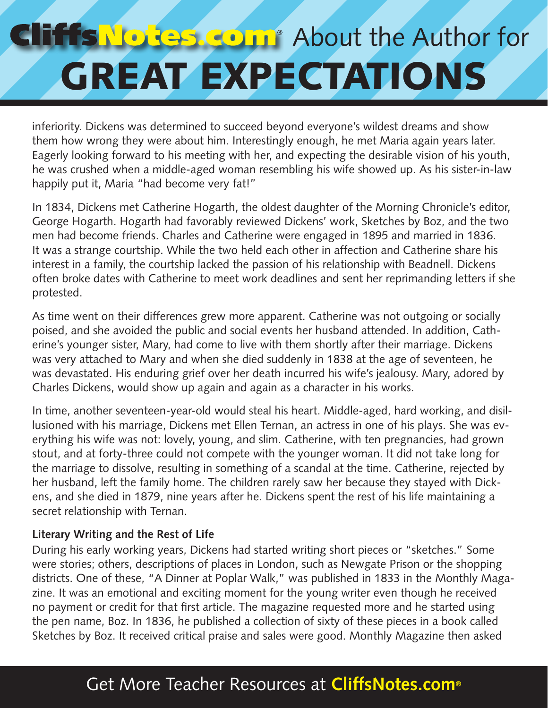inferiority. Dickens was determined to succeed beyond everyone's wildest dreams and show them how wrong they were about him. Interestingly enough, he met Maria again years later. Eagerly looking forward to his meeting with her, and expecting the desirable vision of his youth, he was crushed when a middle-aged woman resembling his wife showed up. As his sister-in-law happily put it, Maria "had become very fat!"

In 1834, Dickens met Catherine Hogarth, the oldest daughter of the Morning Chronicle's editor, George Hogarth. Hogarth had favorably reviewed Dickens' work, Sketches by Boz, and the two men had become friends. Charles and Catherine were engaged in 1895 and married in 1836. It was a strange courtship. While the two held each other in affection and Catherine share his interest in a family, the courtship lacked the passion of his relationship with Beadnell. Dickens often broke dates with Catherine to meet work deadlines and sent her reprimanding letters if she protested.

As time went on their differences grew more apparent. Catherine was not outgoing or socially poised, and she avoided the public and social events her husband attended. In addition, Catherine's younger sister, Mary, had come to live with them shortly after their marriage. Dickens was very attached to Mary and when she died suddenly in 1838 at the age of seventeen, he was devastated. His enduring grief over her death incurred his wife's jealousy. Mary, adored by Charles Dickens, would show up again and again as a character in his works.

In time, another seventeen-year-old would steal his heart. Middle-aged, hard working, and disillusioned with his marriage, Dickens met Ellen Ternan, an actress in one of his plays. She was everything his wife was not: lovely, young, and slim. Catherine, with ten pregnancies, had grown stout, and at forty-three could not compete with the younger woman. It did not take long for the marriage to dissolve, resulting in something of a scandal at the time. Catherine, rejected by her husband, left the family home. The children rarely saw her because they stayed with Dickens, and she died in 1879, nine years after he. Dickens spent the rest of his life maintaining a secret relationship with Ternan.

### **Literary Writing and the Rest of Life**

During his early working years, Dickens had started writing short pieces or "sketches." Some were stories; others, descriptions of places in London, such as Newgate Prison or the shopping districts. One of these, "A Dinner at Poplar Walk," was published in 1833 in the Monthly Magazine. It was an emotional and exciting moment for the young writer even though he received no payment or credit for that first article. The magazine requested more and he started using the pen name, Boz. In 1836, he published a collection of sixty of these pieces in a book called Sketches by Boz. It received critical praise and sales were good. Monthly Magazine then asked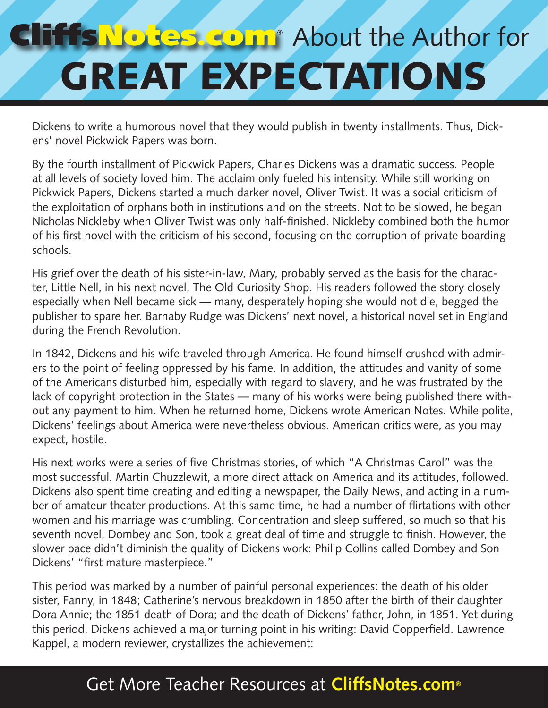Dickens to write a humorous novel that they would publish in twenty installments. Thus, Dickens' novel Pickwick Papers was born.

By the fourth installment of Pickwick Papers, Charles Dickens was a dramatic success. People at all levels of society loved him. The acclaim only fueled his intensity. While still working on Pickwick Papers, Dickens started a much darker novel, Oliver Twist. It was a social criticism of the exploitation of orphans both in institutions and on the streets. Not to be slowed, he began Nicholas Nickleby when Oliver Twist was only half-finished. Nickleby combined both the humor of his first novel with the criticism of his second, focusing on the corruption of private boarding schools.

His grief over the death of his sister-in-law, Mary, probably served as the basis for the character, Little Nell, in his next novel, The Old Curiosity Shop. His readers followed the story closely especially when Nell became sick — many, desperately hoping she would not die, begged the publisher to spare her. Barnaby Rudge was Dickens' next novel, a historical novel set in England during the French Revolution.

In 1842, Dickens and his wife traveled through America. He found himself crushed with admirers to the point of feeling oppressed by his fame. In addition, the attitudes and vanity of some of the Americans disturbed him, especially with regard to slavery, and he was frustrated by the lack of copyright protection in the States — many of his works were being published there without any payment to him. When he returned home, Dickens wrote American Notes. While polite, Dickens' feelings about America were nevertheless obvious. American critics were, as you may expect, hostile.

His next works were a series of five Christmas stories, of which "A Christmas Carol" was the most successful. Martin Chuzzlewit, a more direct attack on America and its attitudes, followed. Dickens also spent time creating and editing a newspaper, the Daily News, and acting in a number of amateur theater productions. At this same time, he had a number of flirtations with other women and his marriage was crumbling. Concentration and sleep suffered, so much so that his seventh novel, Dombey and Son, took a great deal of time and struggle to finish. However, the slower pace didn't diminish the quality of Dickens work: Philip Collins called Dombey and Son Dickens' "first mature masterpiece."

This period was marked by a number of painful personal experiences: the death of his older sister, Fanny, in 1848; Catherine's nervous breakdown in 1850 after the birth of their daughter Dora Annie; the 1851 death of Dora; and the death of Dickens' father, John, in 1851. Yet during this period, Dickens achieved a major turning point in his writing: David Copperfield. Lawrence Kappel, a modern reviewer, crystallizes the achievement: